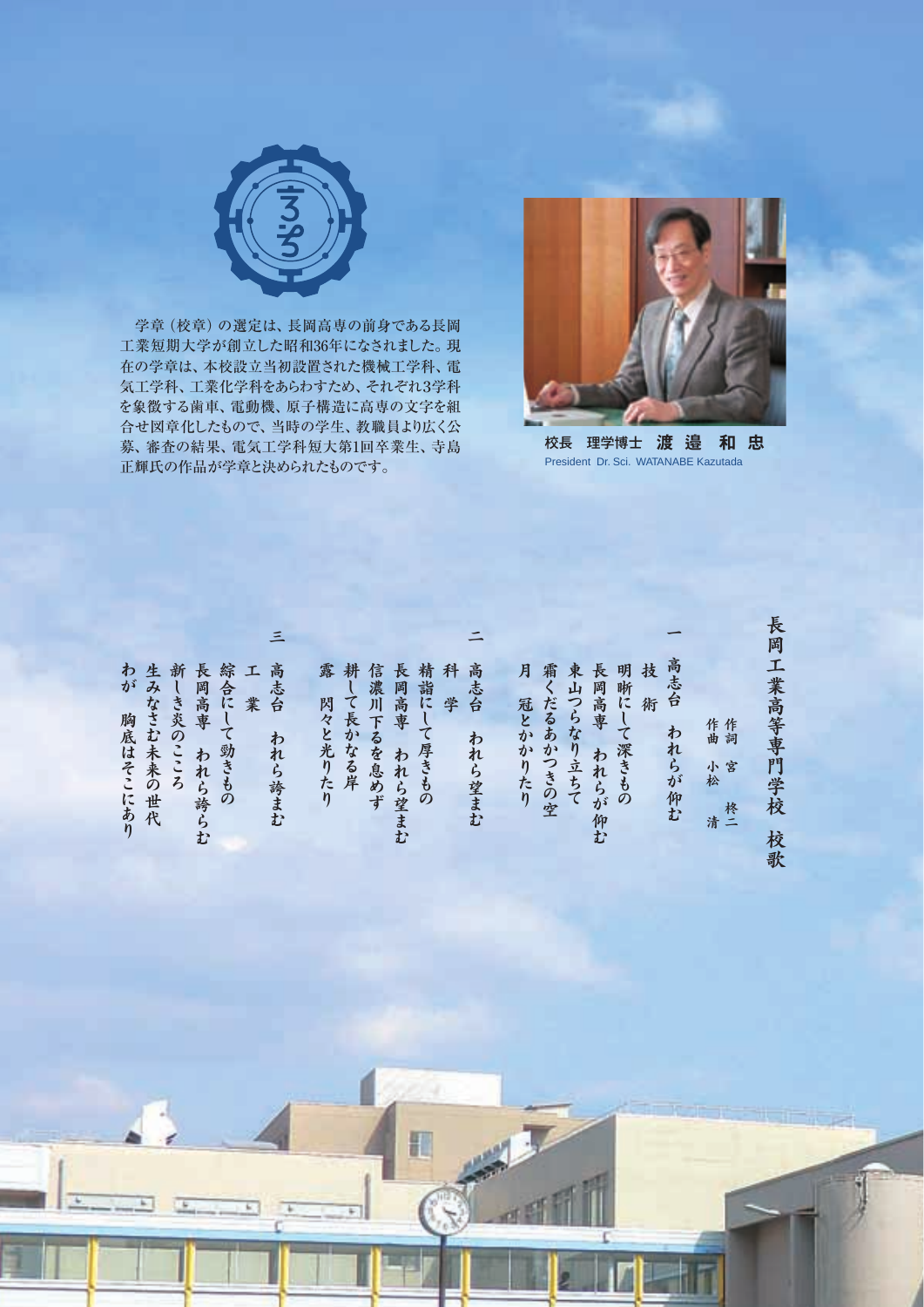

 学章(校章)の選定は、長岡高専の前身である長岡 工業短期大学が創立した昭和36年になされました。現 在の学章は、本校設立当初設置された機械工学科、電 気工学科、工業化学科をあらわすため、それぞれ3学科 を象徴する歯車、電動機、原子構造に高専の文字を組 合せ図章化したもので、当時の学生、教職員より広く公 募、審査の結果、電気工学科短大第1回卒業生、寺島 正輝氏の作品が学章と決められたものです。



校長 理学博士 **渡 邉 和 忠** President Dr. Sci. WATANABE Kazutada

長岡工業高等専門学校  $\leq$  $\equiv$ このような 高志台 高志台 高志台 わが 科 生みなさむ未来の世代 新しき炎のこころ 長岡高専 われら誇らむ 綜合にして勁きもの 工 露 耕して長かなる岸 信濃川下るを息めず 長岡高専 われら望まむ 精詣にして厚きもの 月 霜くだるあかつきの空 東山つらなり立ちて 長岡高専 われらが仰む 明晰にして深きもの 技 生みなさむ未来の世代 にしているようにしているようにしているようにしているようにしているようにしているようにしているようにしているようにしているようにしているようにしているようにしているようにしているようにしているようにし にしている 業 学 術 閃々と光りたり 冠とかかりたり 胸底はそこにあり 作作詞 われらが仰む 胸底はそこにあり われら誇まむ われら望まむ 小松 宮 われら誇らむ 柊二 清校 歌

П